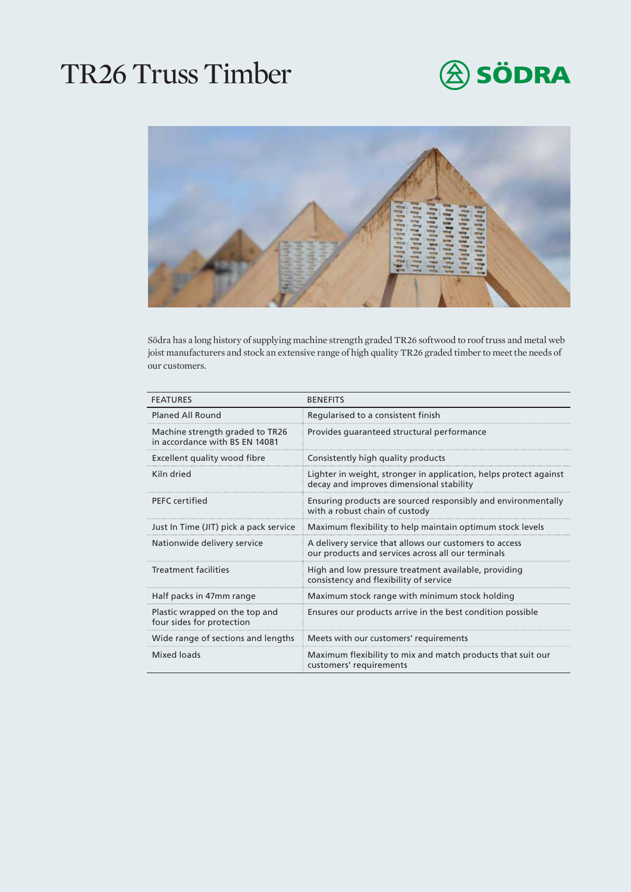## TR26 Truss Timber





Södra has a long history of supplying machine strength graded TR26 softwood to roof truss and metal web joist manufacturers and stock an extensive range of high quality TR26 graded timber to meet the needs of our customers.

| <b>FFATURES</b>                                                   | <b>BENFFITS</b>                                                                                               |
|-------------------------------------------------------------------|---------------------------------------------------------------------------------------------------------------|
| Planed All Round                                                  | Regularised to a consistent finish                                                                            |
| Machine strength graded to TR26<br>in accordance with BS EN 14081 | Provides quaranteed structural performance                                                                    |
| Excellent quality wood fibre                                      | Consistently high quality products                                                                            |
| Kiln dried                                                        | Lighter in weight, stronger in application, helps protect against<br>decay and improves dimensional stability |
| <b>PFFC</b> certified                                             | Ensuring products are sourced responsibly and environmentally<br>with a robust chain of custody               |
| Just In Time (JIT) pick a pack service                            | Maximum flexibility to help maintain optimum stock levels                                                     |
| Nationwide delivery service                                       | A delivery service that allows our customers to access<br>our products and services across all our terminals  |
| Treatment facilities                                              | High and low pressure treatment available, providing<br>consistency and flexibility of service                |
| Half packs in 47mm range                                          | Maximum stock range with minimum stock holding                                                                |
| Plastic wrapped on the top and<br>four sides for protection       | Ensures our products arrive in the best condition possible                                                    |
| Wide range of sections and lengths                                | Meets with our customers' requirements                                                                        |
| Mixed loads                                                       | Maximum flexibility to mix and match products that suit our<br>customers' requirements                        |